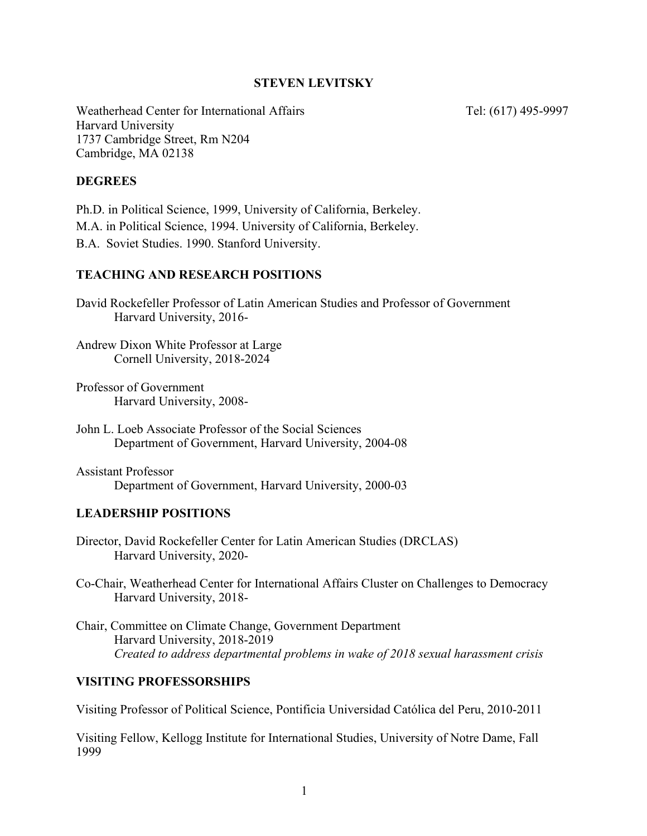# **STEVEN LEVITSKY**

Weatherhead Center for International Affairs Tel: (617) 495-9997 Harvard University 1737 Cambridge Street, Rm N204 Cambridge, MA 02138

#### **DEGREES**

Ph.D. in Political Science, 1999, University of California, Berkeley. M.A. in Political Science, 1994. University of California, Berkeley. B.A. Soviet Studies. 1990. Stanford University.

### **TEACHING AND RESEARCH POSITIONS**

David Rockefeller Professor of Latin American Studies and Professor of Government Harvard University, 2016-

Andrew Dixon White Professor at Large Cornell University, 2018-2024

Professor of Government Harvard University, 2008-

Assistant Professor Department of Government, Harvard University, 2000-03

#### **LEADERSHIP POSITIONS**

Director, David Rockefeller Center for Latin American Studies (DRCLAS) Harvard University, 2020-

Co-Chair, Weatherhead Center for International Affairs Cluster on Challenges to Democracy Harvard University, 2018-

Chair, Committee on Climate Change, Government Department Harvard University, 2018-2019 *Created to address departmental problems in wake of 2018 sexual harassment crisis* 

# **VISITING PROFESSORSHIPS**

Visiting Professor of Political Science, Pontificia Universidad Católica del Peru, 2010-2011

Visiting Fellow, Kellogg Institute for International Studies, University of Notre Dame, Fall 1999

John L. Loeb Associate Professor of the Social Sciences Department of Government, Harvard University, 2004-08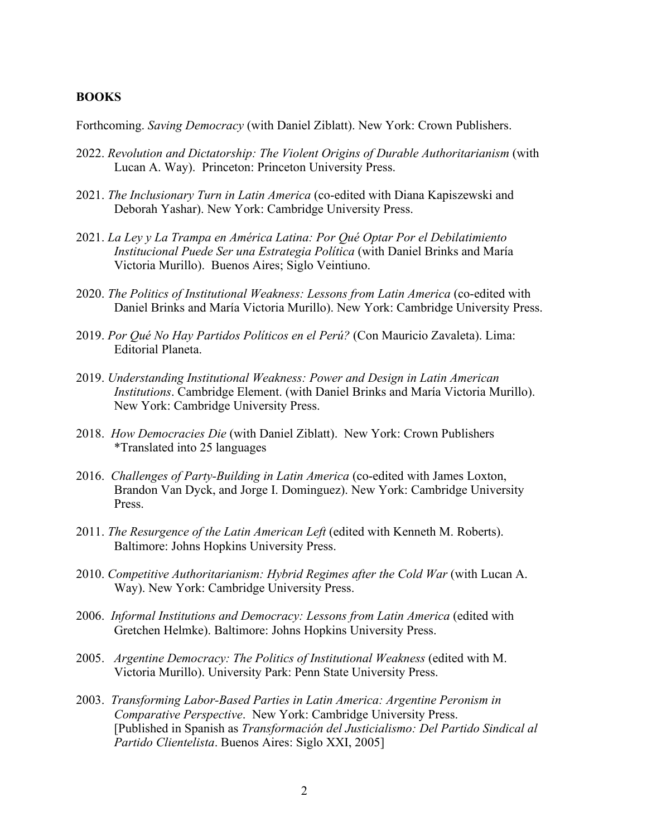#### **BOOKS**

Forthcoming. *Saving Democracy* (with Daniel Ziblatt). New York: Crown Publishers.

- 2022. *Revolution and Dictatorship: The Violent Origins of Durable Authoritarianism* (with Lucan A. Way). Princeton: Princeton University Press.
- 2021. *The Inclusionary Turn in Latin America* (co-edited with Diana Kapiszewski and Deborah Yashar). New York: Cambridge University Press.
- 2021. *La Ley y La Trampa en América Latina: Por Qué Optar Por el Debilatimiento Institucional Puede Ser una Estrategia Política* (with Daniel Brinks and María Victoria Murillo). Buenos Aires; Siglo Veintiuno.
- 2020. *The Politics of Institutional Weakness: Lessons from Latin America* (co-edited with Daniel Brinks and María Victoria Murillo). New York: Cambridge University Press.
- 2019. *Por Qué No Hay Partidos Políticos en el Perú?* (Con Mauricio Zavaleta). Lima: Editorial Planeta.
- 2019. *Understanding Institutional Weakness: Power and Design in Latin American Institutions*. Cambridge Element. (with Daniel Brinks and María Victoria Murillo). New York: Cambridge University Press.
- 2018. *How Democracies Die* (with Daniel Ziblatt). New York: Crown Publishers \*Translated into 25 languages
- 2016. *Challenges of Party-Building in Latin America* (co-edited with James Loxton, Brandon Van Dyck, and Jorge I. Dominguez). New York: Cambridge University Press.
- 2011. *The Resurgence of the Latin American Left* (edited with Kenneth M. Roberts). Baltimore: Johns Hopkins University Press.
- 2010. *Competitive Authoritarianism: Hybrid Regimes after the Cold War* (with Lucan A. Way). New York: Cambridge University Press.
- 2006. *Informal Institutions and Democracy: Lessons from Latin America* (edited with Gretchen Helmke). Baltimore: Johns Hopkins University Press.
- 2005. *Argentine Democracy: The Politics of Institutional Weakness* (edited with M. Victoria Murillo). University Park: Penn State University Press.
- 2003. *Transforming Labor-Based Parties in Latin America: Argentine Peronism in Comparative Perspective*. New York: Cambridge University Press. [Published in Spanish as *Transformación del Justicialismo: Del Partido Sindical al Partido Clientelista*. Buenos Aires: Siglo XXI, 2005]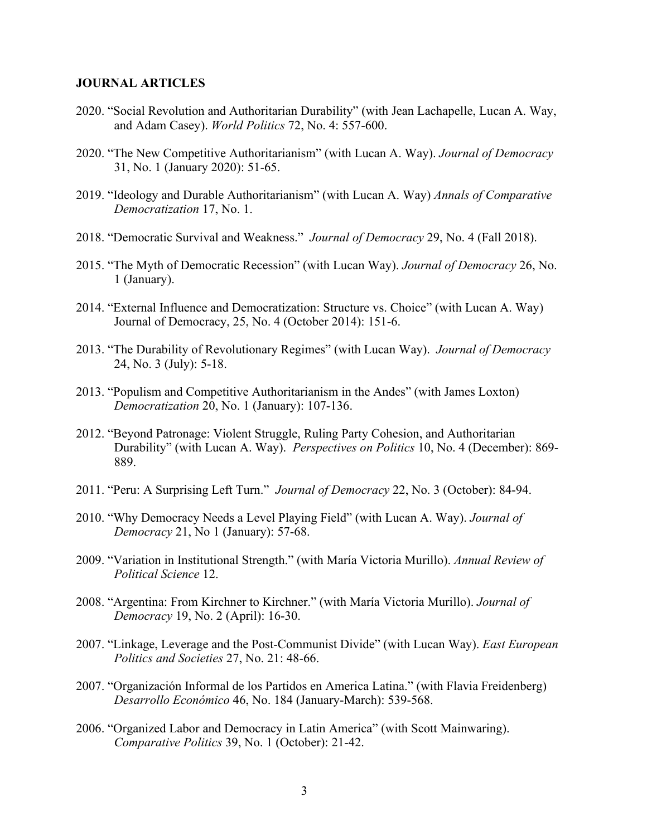#### **JOURNAL ARTICLES**

- 2020. "Social Revolution and Authoritarian Durability" (with Jean Lachapelle, Lucan A. Way, and Adam Casey). *World Politics* 72, No. 4: 557-600.
- 2020. "The New Competitive Authoritarianism" (with Lucan A. Way). *Journal of Democracy* 31, No. 1 (January 2020): 51-65.
- 2019. "Ideology and Durable Authoritarianism" (with Lucan A. Way) *Annals of Comparative Democratization* 17, No. 1.
- 2018. "Democratic Survival and Weakness." *Journal of Democracy* 29, No. 4 (Fall 2018).
- 2015. "The Myth of Democratic Recession" (with Lucan Way). *Journal of Democracy* 26, No. 1 (January).
- 2014. "External Influence and Democratization: Structure vs. Choice" (with Lucan A. Way) Journal of Democracy, 25, No. 4 (October 2014): 151-6.
- 2013. "The Durability of Revolutionary Regimes" (with Lucan Way). *Journal of Democracy* 24, No. 3 (July): 5-18.
- 2013. "Populism and Competitive Authoritarianism in the Andes" (with James Loxton) *Democratization* 20, No. 1 (January): 107-136.
- 2012. "Beyond Patronage: Violent Struggle, Ruling Party Cohesion, and Authoritarian Durability" (with Lucan A. Way). *Perspectives on Politics* 10, No. 4 (December): 869- 889.
- 2011. "Peru: A Surprising Left Turn." *Journal of Democracy* 22, No. 3 (October): 84-94.
- 2010. "Why Democracy Needs a Level Playing Field" (with Lucan A. Way). *Journal of Democracy* 21, No 1 (January): 57-68.
- 2009. "Variation in Institutional Strength." (with María Victoria Murillo). *Annual Review of Political Science* 12.
- 2008. "Argentina: From Kirchner to Kirchner." (with María Victoria Murillo). *Journal of Democracy* 19, No. 2 (April): 16-30.
- 2007. "Linkage, Leverage and the Post-Communist Divide" (with Lucan Way). *East European Politics and Societies* 27, No. 21: 48-66.
- 2007. "Organización Informal de los Partidos en America Latina." (with Flavia Freidenberg) *Desarrollo Económico* 46, No. 184 (January-March): 539-568.
- 2006. "Organized Labor and Democracy in Latin America" (with Scott Mainwaring). *Comparative Politics* 39, No. 1 (October): 21-42.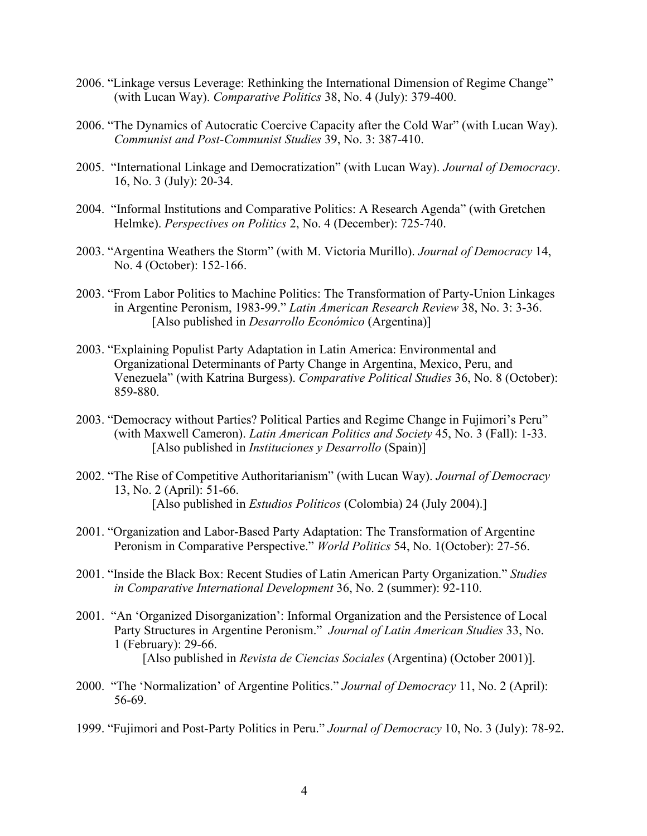- 2006. "Linkage versus Leverage: Rethinking the International Dimension of Regime Change" (with Lucan Way). *Comparative Politics* 38, No. 4 (July): 379-400.
- 2006. "The Dynamics of Autocratic Coercive Capacity after the Cold War" (with Lucan Way). *Communist and Post-Communist Studies* 39, No. 3: 387-410.
- 2005. "International Linkage and Democratization" (with Lucan Way). *Journal of Democracy*. 16, No. 3 (July): 20-34.
- 2004. "Informal Institutions and Comparative Politics: A Research Agenda" (with Gretchen Helmke). *Perspectives on Politics* 2, No. 4 (December): 725-740.
- 2003. "Argentina Weathers the Storm" (with M. Victoria Murillo). *Journal of Democracy* 14, No. 4 (October): 152-166.
- 2003. "From Labor Politics to Machine Politics: The Transformation of Party-Union Linkages in Argentine Peronism, 1983-99." *Latin American Research Review* 38, No. 3: 3-36. [Also published in *Desarrollo Económico* (Argentina)]
- 2003. "Explaining Populist Party Adaptation in Latin America: Environmental and Organizational Determinants of Party Change in Argentina, Mexico, Peru, and Venezuela" (with Katrina Burgess). *Comparative Political Studies* 36, No. 8 (October): 859-880.
- 2003. "Democracy without Parties? Political Parties and Regime Change in Fujimori's Peru" (with Maxwell Cameron). *Latin American Politics and Society* 45, No. 3 (Fall): 1-33. [Also published in *Instituciones y Desarrollo* (Spain)]
- 2002. "The Rise of Competitive Authoritarianism" (with Lucan Way). *Journal of Democracy* 13, No. 2 (April): 51-66. [Also published in *Estudios Políticos* (Colombia) 24 (July 2004).]
- 2001. "Organization and Labor-Based Party Adaptation: The Transformation of Argentine Peronism in Comparative Perspective." *World Politics* 54, No. 1(October): 27-56.
- 2001. "Inside the Black Box: Recent Studies of Latin American Party Organization." *Studies in Comparative International Development* 36, No. 2 (summer): 92-110.
- 2001. "An 'Organized Disorganization': Informal Organization and the Persistence of Local Party Structures in Argentine Peronism." *Journal of Latin American Studies* 33, No. 1 (February): 29-66. [Also published in *Revista de Ciencias Sociales* (Argentina) (October 2001)].
- 2000. "The 'Normalization' of Argentine Politics." *Journal of Democracy* 11, No. 2 (April): 56-69.
- 1999. "Fujimori and Post-Party Politics in Peru." *Journal of Democracy* 10, No. 3 (July): 78-92.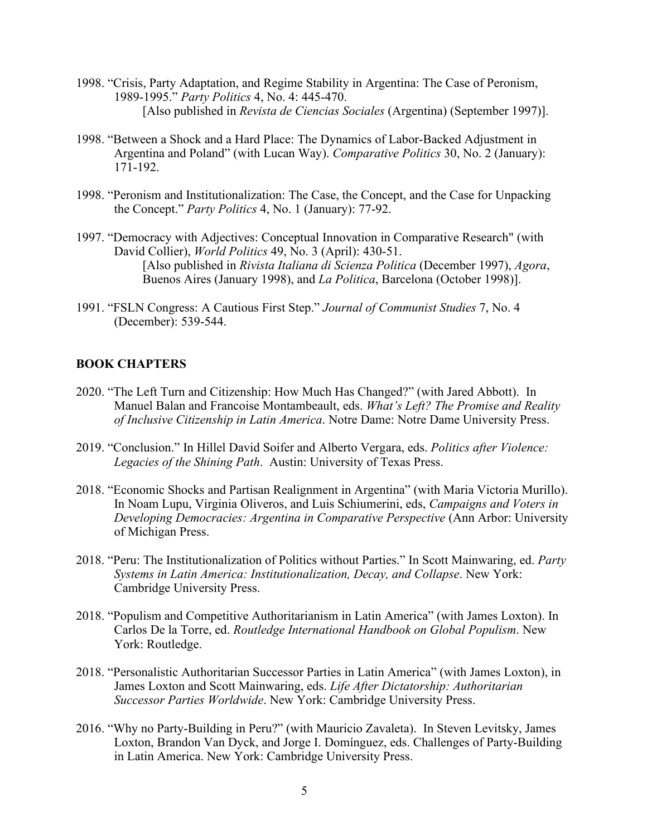- 1998. "Crisis, Party Adaptation, and Regime Stability in Argentina: The Case of Peronism, 1989-1995." *Party Politics* 4, No. 4: 445-470. [Also published in *Revista de Ciencias Sociales* (Argentina) (September 1997)].
- 1998. "Between a Shock and a Hard Place: The Dynamics of Labor-Backed Adjustment in Argentina and Poland" (with Lucan Way). *Comparative Politics* 30, No. 2 (January): 171-192.
- 1998. "Peronism and Institutionalization: The Case, the Concept, and the Case for Unpacking the Concept." *Party Politics* 4, No. 1 (January): 77-92.
- 1997. "Democracy with Adjectives: Conceptual Innovation in Comparative Research" (with David Collier), *World Politics* 49, No. 3 (April): 430-51. [Also published in *Rivista Italiana di Scienza Politica* (December 1997), *Agora*, Buenos Aires (January 1998), and *La Politica*, Barcelona (October 1998)].
- 1991. "FSLN Congress: A Cautious First Step." *Journal of Communist Studies* 7, No. 4 (December): 539-544.

### **BOOK CHAPTERS**

- 2020. "The Left Turn and Citizenship: How Much Has Changed?" (with Jared Abbott). In Manuel Balan and Francoise Montambeault, eds. *What's Left? The Promise and Reality of Inclusive Citizenship in Latin America*. Notre Dame: Notre Dame University Press.
- 2019. "Conclusion." In Hillel David Soifer and Alberto Vergara, eds. *Politics after Violence: Legacies of the Shining Path*. Austin: University of Texas Press.
- 2018. "Economic Shocks and Partisan Realignment in Argentina" (with Maria Victoria Murillo). In Noam Lupu, Virginia Oliveros, and Luis Schiumerini, eds, *Campaigns and Voters in Developing Democracies: Argentina in Comparative Perspective* (Ann Arbor: University of Michigan Press.
- 2018. "Peru: The Institutionalization of Politics without Parties." In Scott Mainwaring, ed. *Party Systems in Latin America: Institutionalization, Decay, and Collapse*. New York: Cambridge University Press.
- 2018. "Populism and Competitive Authoritarianism in Latin America" (with James Loxton). In Carlos De la Torre, ed. *Routledge International Handbook on Global Populism*. New York: Routledge.
- 2018. "Personalistic Authoritarian Successor Parties in Latin America" (with James Loxton), in James Loxton and Scott Mainwaring, eds. *Life After Dictatorship: Authoritarian Successor Parties Worldwide*. New York: Cambridge University Press.
- 2016. "Why no Party-Building in Peru?" (with Mauricio Zavaleta). In Steven Levitsky, James Loxton, Brandon Van Dyck, and Jorge I. Domínguez, eds. Challenges of Party-Building in Latin America. New York: Cambridge University Press.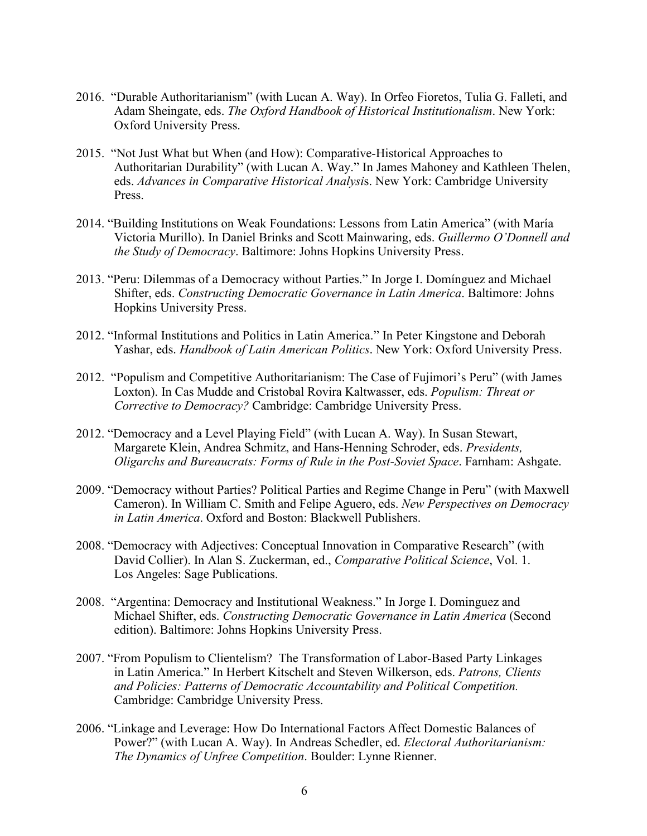- 2016. "Durable Authoritarianism" (with Lucan A. Way). In Orfeo Fioretos, Tulia G. Falleti, and Adam Sheingate, eds. *The Oxford Handbook of Historical Institutionalism*. New York: Oxford University Press.
- 2015. "Not Just What but When (and How): Comparative-Historical Approaches to Authoritarian Durability" (with Lucan A. Way." In James Mahoney and Kathleen Thelen, eds. *Advances in Comparative Historical Analysi*s. New York: Cambridge University Press.
- 2014. "Building Institutions on Weak Foundations: Lessons from Latin America" (with María Victoria Murillo). In Daniel Brinks and Scott Mainwaring, eds. *Guillermo O'Donnell and the Study of Democracy*. Baltimore: Johns Hopkins University Press.
- 2013. "Peru: Dilemmas of a Democracy without Parties." In Jorge I. Domínguez and Michael Shifter, eds. *Constructing Democratic Governance in Latin America*. Baltimore: Johns Hopkins University Press.
- 2012. "Informal Institutions and Politics in Latin America." In Peter Kingstone and Deborah Yashar, eds. *Handbook of Latin American Politics*. New York: Oxford University Press.
- 2012. "Populism and Competitive Authoritarianism: The Case of Fujimori's Peru" (with James Loxton). In Cas Mudde and Cristobal Rovira Kaltwasser, eds. *Populism: Threat or Corrective to Democracy?* Cambridge: Cambridge University Press.
- 2012. "Democracy and a Level Playing Field" (with Lucan A. Way). In Susan Stewart, Margarete Klein, Andrea Schmitz, and Hans-Henning Schroder, eds. *Presidents, Oligarchs and Bureaucrats: Forms of Rule in the Post-Soviet Space*. Farnham: Ashgate.
- 2009. "Democracy without Parties? Political Parties and Regime Change in Peru" (with Maxwell Cameron). In William C. Smith and Felipe Aguero, eds. *New Perspectives on Democracy in Latin America*. Oxford and Boston: Blackwell Publishers.
- 2008. "Democracy with Adjectives: Conceptual Innovation in Comparative Research" (with David Collier). In Alan S. Zuckerman, ed., *Comparative Political Science*, Vol. 1. Los Angeles: Sage Publications.
- 2008. "Argentina: Democracy and Institutional Weakness." In Jorge I. Dominguez and Michael Shifter, eds. *Constructing Democratic Governance in Latin America* (Second edition). Baltimore: Johns Hopkins University Press.
- 2007. "From Populism to Clientelism? The Transformation of Labor-Based Party Linkages in Latin America." In Herbert Kitschelt and Steven Wilkerson, eds. *Patrons, Clients and Policies: Patterns of Democratic Accountability and Political Competition.*  Cambridge: Cambridge University Press.
- 2006. "Linkage and Leverage: How Do International Factors Affect Domestic Balances of Power?" (with Lucan A. Way). In Andreas Schedler, ed. *Electoral Authoritarianism: The Dynamics of Unfree Competition*. Boulder: Lynne Rienner.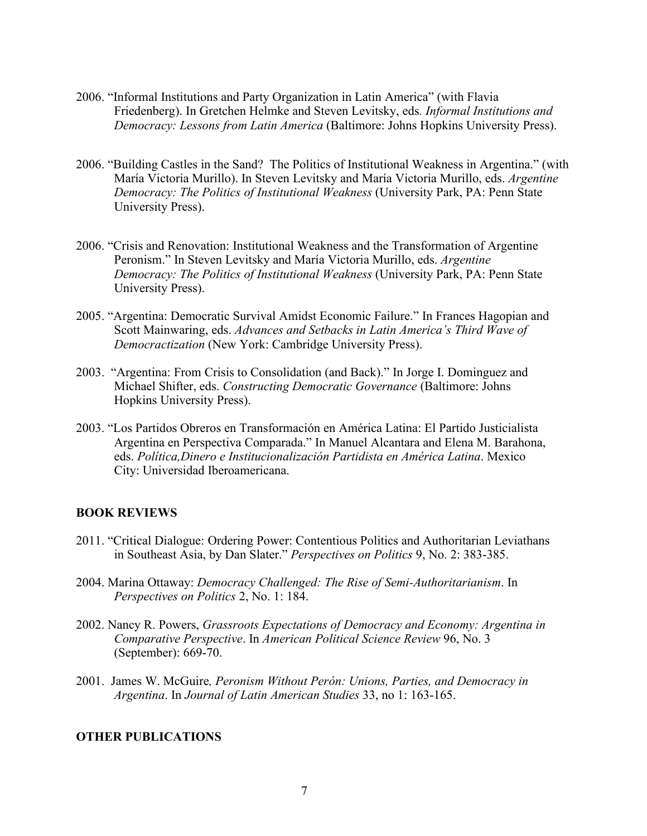- 2006. "Informal Institutions and Party Organization in Latin America" (with Flavia Friedenberg). In Gretchen Helmke and Steven Levitsky, eds*. Informal Institutions and Democracy: Lessons from Latin America* (Baltimore: Johns Hopkins University Press).
- 2006. "Building Castles in the Sand? The Politics of Institutional Weakness in Argentina." (with María Victoria Murillo). In Steven Levitsky and María Victoria Murillo, eds. *Argentine Democracy: The Politics of Institutional Weakness* (University Park, PA: Penn State University Press).
- 2006. "Crisis and Renovation: Institutional Weakness and the Transformation of Argentine Peronism." In Steven Levitsky and María Victoria Murillo, eds. *Argentine Democracy: The Politics of Institutional Weakness* (University Park, PA: Penn State University Press).
- 2005. "Argentina: Democratic Survival Amidst Economic Failure." In Frances Hagopian and Scott Mainwaring, eds. *Advances and Setbacks in Latin America's Third Wave of Democractization* (New York: Cambridge University Press).
- 2003. "Argentina: From Crisis to Consolidation (and Back)." In Jorge I. Dominguez and Michael Shifter, eds. *Constructing Democratic Governance* (Baltimore: Johns Hopkins University Press).
- 2003. "Los Partidos Obreros en Transformación en América Latina: El Partido Justicialista Argentina en Perspectiva Comparada." In Manuel Alcantara and Elena M. Barahona, eds. *Política,Dinero e Institucionalización Partidista en América Latina*. Mexico City: Universidad Iberoamericana.

#### **BOOK REVIEWS**

- 2011. "Critical Dialogue: Ordering Power: Contentious Politics and Authoritarian Leviathans in Southeast Asia, by Dan Slater." *Perspectives on Politics* 9, No. 2: 383-385.
- 2004. Marina Ottaway: *Democracy Challenged: The Rise of Semi-Authoritarianism*. In *Perspectives on Politics* 2, No. 1: 184.
- 2002. Nancy R. Powers, *Grassroots Expectations of Democracy and Economy: Argentina in Comparative Perspective*. In *American Political Science Review* 96, No. 3 (September): 669-70.
- 2001. James W. McGuire*, Peronism Without Perón: Unions, Parties, and Democracy in Argentina*. In *Journal of Latin American Studies* 33, no 1: 163-165.

#### **OTHER PUBLICATIONS**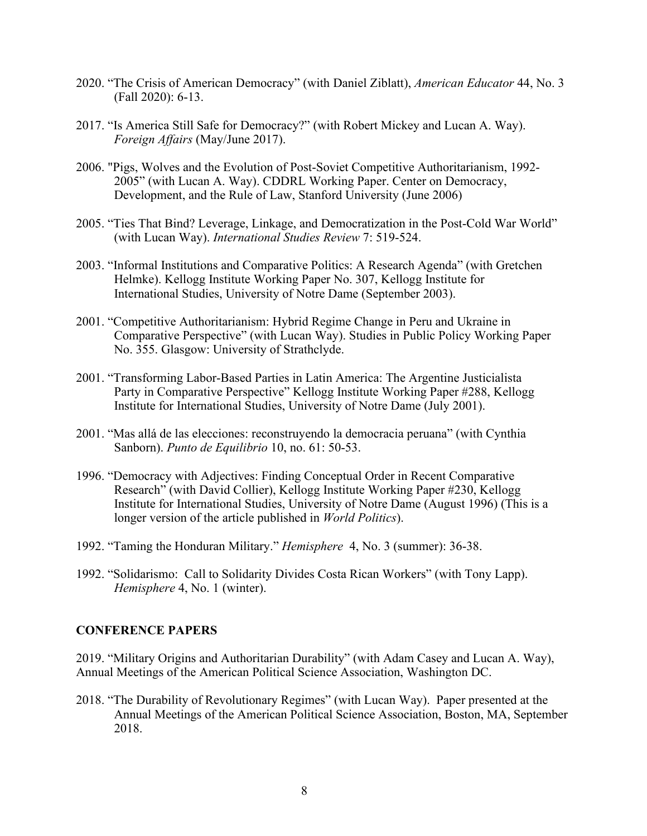- 2020. "The Crisis of American Democracy" (with Daniel Ziblatt), *American Educator* 44, No. 3 (Fall 2020): 6-13.
- 2017. "Is America Still Safe for Democracy?" (with Robert Mickey and Lucan A. Way). *Foreign Affairs* (May/June 2017).
- 2006. "Pigs, Wolves and the Evolution of Post-Soviet Competitive Authoritarianism, 1992- 2005" (with Lucan A. Way). CDDRL Working Paper. Center on Democracy, Development, and the Rule of Law, Stanford University (June 2006)
- 2005. "Ties That Bind? Leverage, Linkage, and Democratization in the Post-Cold War World" (with Lucan Way). *International Studies Review* 7: 519-524.
- 2003. "Informal Institutions and Comparative Politics: A Research Agenda" (with Gretchen Helmke). Kellogg Institute Working Paper No. 307, Kellogg Institute for International Studies, University of Notre Dame (September 2003).
- 2001. "Competitive Authoritarianism: Hybrid Regime Change in Peru and Ukraine in Comparative Perspective" (with Lucan Way). Studies in Public Policy Working Paper No. 355. Glasgow: University of Strathclyde.
- 2001. "Transforming Labor-Based Parties in Latin America: The Argentine Justicialista Party in Comparative Perspective" Kellogg Institute Working Paper #288, Kellogg Institute for International Studies, University of Notre Dame (July 2001).
- 2001. "Mas allá de las elecciones: reconstruyendo la democracia peruana" (with Cynthia Sanborn). *Punto de Equilibrio* 10, no. 61: 50-53.
- 1996. "Democracy with Adjectives: Finding Conceptual Order in Recent Comparative Research" (with David Collier), Kellogg Institute Working Paper #230, Kellogg Institute for International Studies, University of Notre Dame (August 1996) (This is a longer version of the article published in *World Politics*).
- 1992. "Taming the Honduran Military." *Hemisphere* 4, No. 3 (summer): 36-38.
- 1992. "Solidarismo: Call to Solidarity Divides Costa Rican Workers" (with Tony Lapp). *Hemisphere* 4, No. 1 (winter).

# **CONFERENCE PAPERS**

2019. "Military Origins and Authoritarian Durability" (with Adam Casey and Lucan A. Way), Annual Meetings of the American Political Science Association, Washington DC.

2018. "The Durability of Revolutionary Regimes" (with Lucan Way). Paper presented at the Annual Meetings of the American Political Science Association, Boston, MA, September 2018.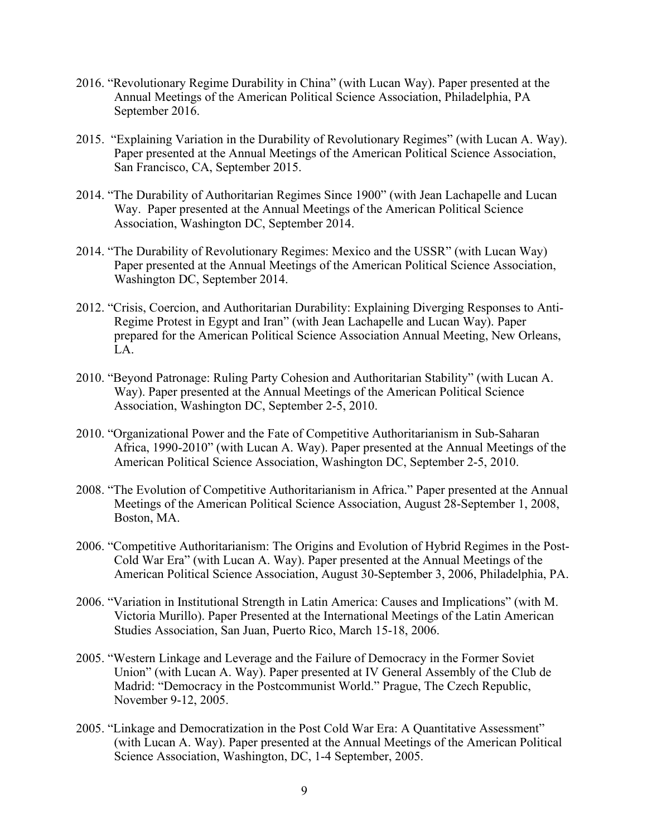- 2016. "Revolutionary Regime Durability in China" (with Lucan Way). Paper presented at the Annual Meetings of the American Political Science Association, Philadelphia, PA September 2016.
- 2015. "Explaining Variation in the Durability of Revolutionary Regimes" (with Lucan A. Way). Paper presented at the Annual Meetings of the American Political Science Association, San Francisco, CA, September 2015.
- 2014. "The Durability of Authoritarian Regimes Since 1900" (with Jean Lachapelle and Lucan Way. Paper presented at the Annual Meetings of the American Political Science Association, Washington DC, September 2014.
- 2014. "The Durability of Revolutionary Regimes: Mexico and the USSR" (with Lucan Way) Paper presented at the Annual Meetings of the American Political Science Association, Washington DC, September 2014.
- 2012. "Crisis, Coercion, and Authoritarian Durability: Explaining Diverging Responses to Anti-Regime Protest in Egypt and Iran" (with Jean Lachapelle and Lucan Way). Paper prepared for the American Political Science Association Annual Meeting, New Orleans, LA.
- 2010. "Beyond Patronage: Ruling Party Cohesion and Authoritarian Stability" (with Lucan A. Way). Paper presented at the Annual Meetings of the American Political Science Association, Washington DC, September 2-5, 2010.
- 2010. "Organizational Power and the Fate of Competitive Authoritarianism in Sub-Saharan Africa, 1990-2010" (with Lucan A. Way). Paper presented at the Annual Meetings of the American Political Science Association, Washington DC, September 2-5, 2010.
- 2008. "The Evolution of Competitive Authoritarianism in Africa." Paper presented at the Annual Meetings of the American Political Science Association, August 28-September 1, 2008, Boston, MA.
- 2006. "Competitive Authoritarianism: The Origins and Evolution of Hybrid Regimes in the Post-Cold War Era" (with Lucan A. Way). Paper presented at the Annual Meetings of the American Political Science Association, August 30-September 3, 2006, Philadelphia, PA.
- 2006. "Variation in Institutional Strength in Latin America: Causes and Implications" (with M. Victoria Murillo). Paper Presented at the International Meetings of the Latin American Studies Association, San Juan, Puerto Rico, March 15-18, 2006.
- 2005. "Western Linkage and Leverage and the Failure of Democracy in the Former Soviet Union" (with Lucan A. Way). Paper presented at IV General Assembly of the Club de Madrid: "Democracy in the Postcommunist World." Prague, The Czech Republic, November 9-12, 2005.
- 2005. "Linkage and Democratization in the Post Cold War Era: A Quantitative Assessment" (with Lucan A. Way). Paper presented at the Annual Meetings of the American Political Science Association, Washington, DC, 1-4 September, 2005.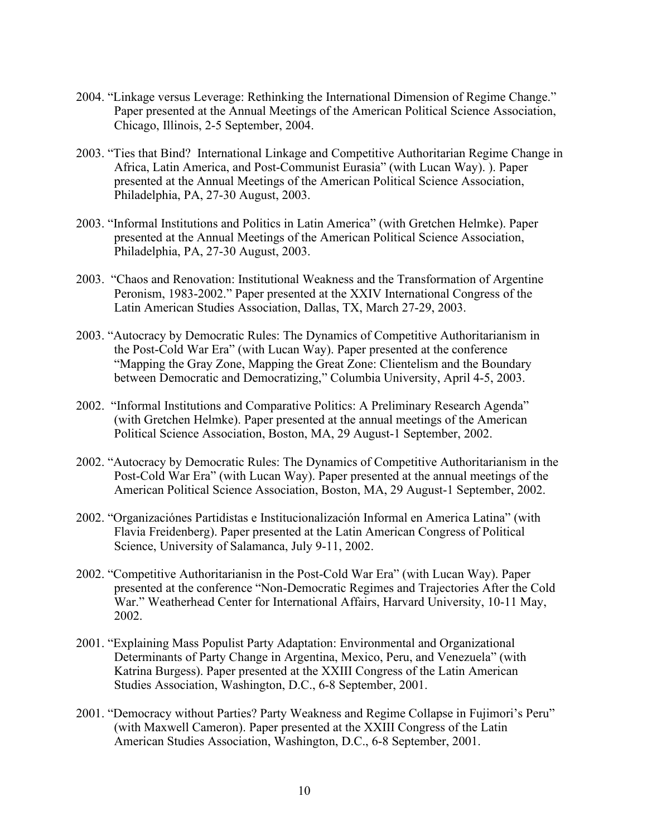- 2004. "Linkage versus Leverage: Rethinking the International Dimension of Regime Change." Paper presented at the Annual Meetings of the American Political Science Association, Chicago, Illinois, 2-5 September, 2004.
- 2003. "Ties that Bind? International Linkage and Competitive Authoritarian Regime Change in Africa, Latin America, and Post-Communist Eurasia" (with Lucan Way). ). Paper presented at the Annual Meetings of the American Political Science Association, Philadelphia, PA, 27-30 August, 2003.
- 2003. "Informal Institutions and Politics in Latin America" (with Gretchen Helmke). Paper presented at the Annual Meetings of the American Political Science Association, Philadelphia, PA, 27-30 August, 2003.
- 2003. "Chaos and Renovation: Institutional Weakness and the Transformation of Argentine Peronism, 1983-2002." Paper presented at the XXIV International Congress of the Latin American Studies Association, Dallas, TX, March 27-29, 2003.
- 2003. "Autocracy by Democratic Rules: The Dynamics of Competitive Authoritarianism in the Post-Cold War Era" (with Lucan Way). Paper presented at the conference "Mapping the Gray Zone, Mapping the Great Zone: Clientelism and the Boundary between Democratic and Democratizing," Columbia University, April 4-5, 2003.
- 2002. "Informal Institutions and Comparative Politics: A Preliminary Research Agenda" (with Gretchen Helmke). Paper presented at the annual meetings of the American Political Science Association, Boston, MA, 29 August-1 September, 2002.
- 2002. "Autocracy by Democratic Rules: The Dynamics of Competitive Authoritarianism in the Post-Cold War Era" (with Lucan Way). Paper presented at the annual meetings of the American Political Science Association, Boston, MA, 29 August-1 September, 2002.
- 2002. "Organizaciónes Partidistas e Institucionalización Informal en America Latina" (with Flavia Freidenberg). Paper presented at the Latin American Congress of Political Science, University of Salamanca, July 9-11, 2002.
- 2002. "Competitive Authoritarianisn in the Post-Cold War Era" (with Lucan Way). Paper presented at the conference "Non-Democratic Regimes and Trajectories After the Cold War." Weatherhead Center for International Affairs, Harvard University, 10-11 May, 2002.
- 2001. "Explaining Mass Populist Party Adaptation: Environmental and Organizational Determinants of Party Change in Argentina, Mexico, Peru, and Venezuela" (with Katrina Burgess). Paper presented at the XXIII Congress of the Latin American Studies Association, Washington, D.C., 6-8 September, 2001.
- 2001. "Democracy without Parties? Party Weakness and Regime Collapse in Fujimori's Peru" (with Maxwell Cameron). Paper presented at the XXIII Congress of the Latin American Studies Association, Washington, D.C., 6-8 September, 2001.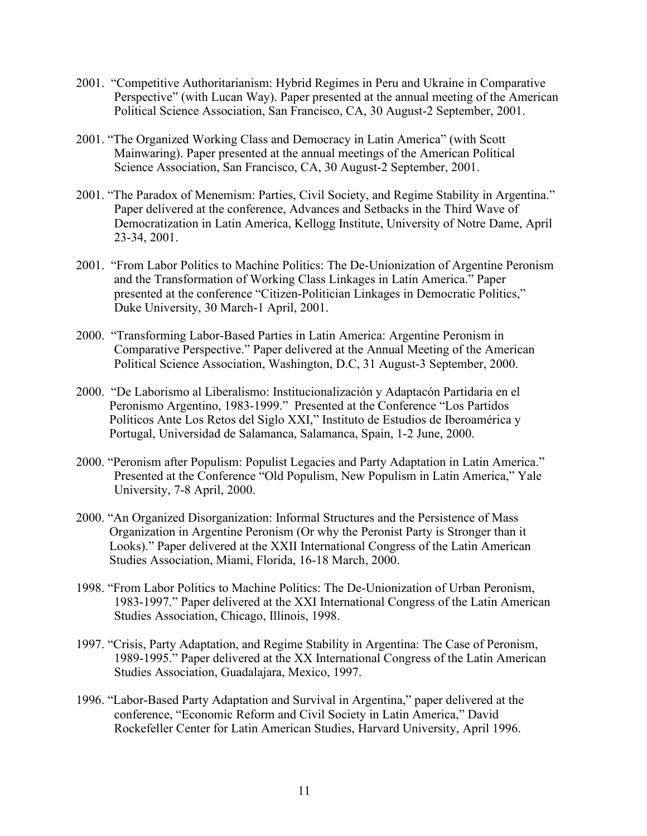- 2001. "Competitive Authoritarianism: Hybrid Regimes in Peru and Ukraine in Comparative Perspective" (with Lucan Way). Paper presented at the annual meeting of the American Political Science Association, San Francisco, CA, 30 August-2 September, 2001.
- 2001. "The Organized Working Class and Democracy in Latin America" (with Scott Mainwaring). Paper presented at the annual meetings of the American Political Science Association, San Francisco, CA, 30 August-2 September, 2001.
- 2001. "The Paradox of Menemism: Parties, Civil Society, and Regime Stability in Argentina." Paper delivered at the conference, Advances and Setbacks in the Third Wave of Democratization in Latin America, Kellogg Institute, University of Notre Dame, April 23-34, 2001.
- 2001. "From Labor Politics to Machine Politics: The De-Unionization of Argentine Peronism and the Transformation of Working Class Linkages in Latin America." Paper presented at the conference "Citizen-Politician Linkages in Democratic Politics," Duke University, 30 March-1 April, 2001.
- 2000. "Transforming Labor-Based Parties in Latin America: Argentine Peronism in Comparative Perspective." Paper delivered at the Annual Meeting of the American Political Science Association, Washington, D.C, 31 August-3 September, 2000.
- 2000. "De Laborismo al Liberalismo: Institucionalización y Adaptacón Partidaria en el Peronismo Argentino, 1983-1999." Presented at the Conference "Los Partidos Políticos Ante Los Retos del Siglo XXI," Instituto de Estudios de Iberoamérica y Portugal, Universidad de Salamanca, Salamanca, Spain, 1-2 June, 2000.
- 2000. "Peronism after Populism: Populist Legacies and Party Adaptation in Latin America." Presented at the Conference "Old Populism, New Populism in Latin America," Yale University, 7-8 April, 2000.
- 2000. "An Organized Disorganization: Informal Structures and the Persistence of Mass Organization in Argentine Peronism (Or why the Peronist Party is Stronger than it Looks)." Paper delivered at the XXII International Congress of the Latin American Studies Association, Miami, Florida, 16-18 March, 2000.
- 1998. "From Labor Politics to Machine Politics: The De-Unionization of Urban Peronism, 1983-1997." Paper delivered at the XXI International Congress of the Latin American Studies Association, Chicago, Illinois, 1998.
- 1997. "Crisis, Party Adaptation, and Regime Stability in Argentina: The Case of Peronism, 1989-1995." Paper delivered at the XX International Congress of the Latin American Studies Association, Guadalajara, Mexico, 1997.
- 1996. "Labor-Based Party Adaptation and Survival in Argentina," paper delivered at the conference, "Economic Reform and Civil Society in Latin America," David Rockefeller Center for Latin American Studies, Harvard University, April 1996.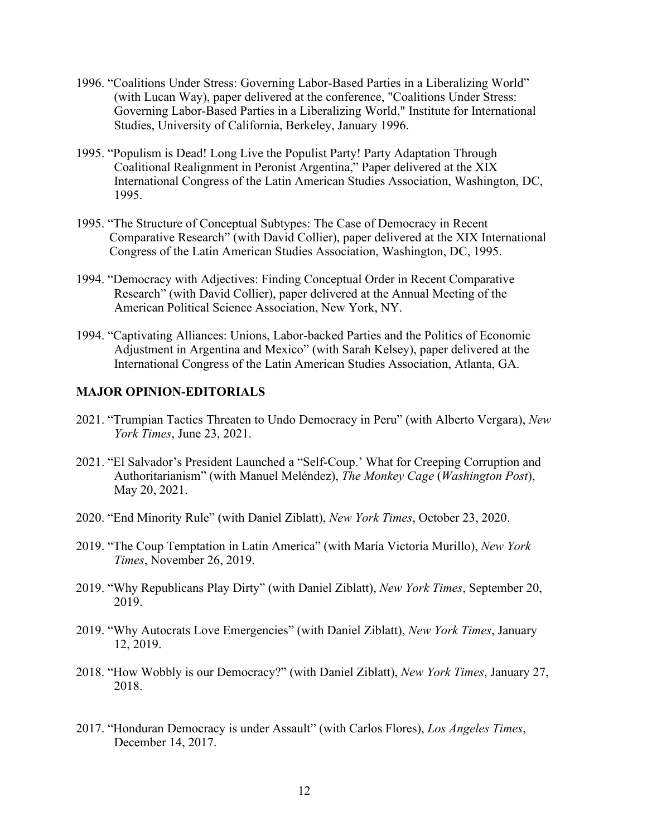- 1996. "Coalitions Under Stress: Governing Labor-Based Parties in a Liberalizing World" (with Lucan Way), paper delivered at the conference, "Coalitions Under Stress: Governing Labor-Based Parties in a Liberalizing World," Institute for International Studies, University of California, Berkeley, January 1996.
- 1995. "Populism is Dead! Long Live the Populist Party! Party Adaptation Through Coalitional Realignment in Peronist Argentina," Paper delivered at the XIX International Congress of the Latin American Studies Association, Washington, DC, 1995.
- 1995. "The Structure of Conceptual Subtypes: The Case of Democracy in Recent Comparative Research" (with David Collier), paper delivered at the XIX International Congress of the Latin American Studies Association, Washington, DC, 1995.
- 1994. "Democracy with Adjectives: Finding Conceptual Order in Recent Comparative Research" (with David Collier), paper delivered at the Annual Meeting of the American Political Science Association, New York, NY.
- 1994. "Captivating Alliances: Unions, Labor-backed Parties and the Politics of Economic Adjustment in Argentina and Mexico" (with Sarah Kelsey), paper delivered at the International Congress of the Latin American Studies Association, Atlanta, GA.

# **MAJOR OPINION-EDITORIALS**

- 2021. "Trumpian Tactics Threaten to Undo Democracy in Peru" (with Alberto Vergara), *New York Times*, June 23, 2021.
- 2021. "El Salvador's President Launched a "Self-Coup.' What for Creeping Corruption and Authoritarianism" (with Manuel Meléndez), *The Monkey Cage* (*Washington Post*), May 20, 2021.
- 2020. "End Minority Rule" (with Daniel Ziblatt), *New York Times*, October 23, 2020.
- 2019. "The Coup Temptation in Latin America" (with María Victoria Murillo), *New York Times*, November 26, 2019.
- 2019. "Why Republicans Play Dirty" (with Daniel Ziblatt), *New York Times*, September 20, 2019.
- 2019. "Why Autocrats Love Emergencies" (with Daniel Ziblatt), *New York Times*, January 12, 2019.
- 2018. "How Wobbly is our Democracy?" (with Daniel Ziblatt), *New York Times*, January 27, 2018.
- 2017. "Honduran Democracy is under Assault" (with Carlos Flores), *Los Angeles Times*, December 14, 2017.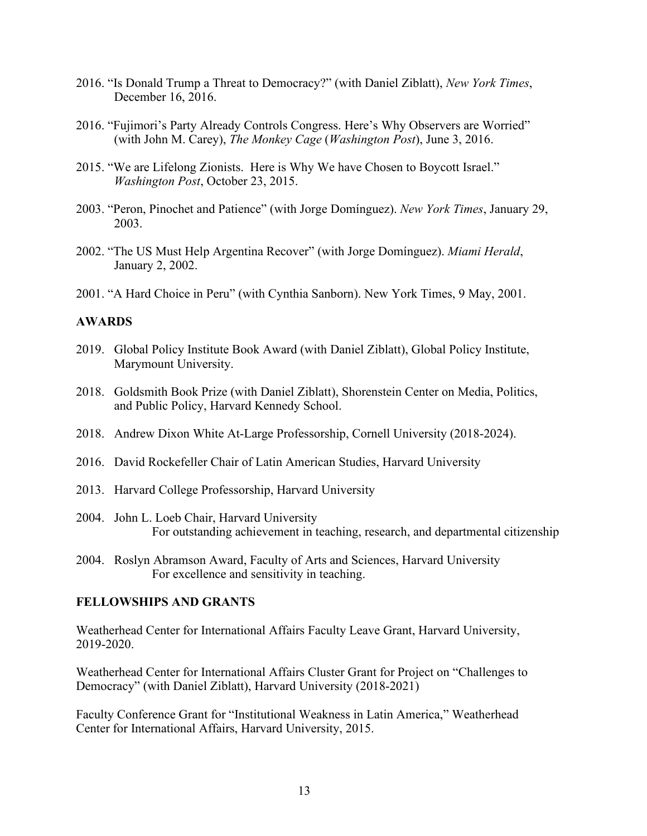- 2016. "Is Donald Trump a Threat to Democracy?" (with Daniel Ziblatt), *New York Times*, December 16, 2016.
- 2016. "Fujimori's Party Already Controls Congress. Here's Why Observers are Worried" (with John M. Carey), *The Monkey Cage* (*Washington Post*), June 3, 2016.
- 2015. "We are Lifelong Zionists. Here is Why We have Chosen to Boycott Israel." *Washington Post*, October 23, 2015.
- 2003. "Peron, Pinochet and Patience" (with Jorge Domínguez). *New York Times*, January 29, 2003.
- 2002. "The US Must Help Argentina Recover" (with Jorge Domínguez). *Miami Herald*, January 2, 2002.
- 2001. "A Hard Choice in Peru" (with Cynthia Sanborn). New York Times, 9 May, 2001.

# **AWARDS**

- 2019. Global Policy Institute Book Award (with Daniel Ziblatt), Global Policy Institute, Marymount University.
- 2018. Goldsmith Book Prize (with Daniel Ziblatt), Shorenstein Center on Media, Politics, and Public Policy, Harvard Kennedy School.
- 2018. Andrew Dixon White At-Large Professorship, Cornell University (2018-2024).
- 2016. David Rockefeller Chair of Latin American Studies, Harvard University
- 2013. Harvard College Professorship, Harvard University
- 2004. John L. Loeb Chair, Harvard University For outstanding achievement in teaching, research, and departmental citizenship
- 2004. Roslyn Abramson Award, Faculty of Arts and Sciences, Harvard University For excellence and sensitivity in teaching.

# **FELLOWSHIPS AND GRANTS**

Weatherhead Center for International Affairs Faculty Leave Grant, Harvard University, 2019-2020.

Weatherhead Center for International Affairs Cluster Grant for Project on "Challenges to Democracy" (with Daniel Ziblatt), Harvard University (2018-2021)

Faculty Conference Grant for "Institutional Weakness in Latin America," Weatherhead Center for International Affairs, Harvard University, 2015.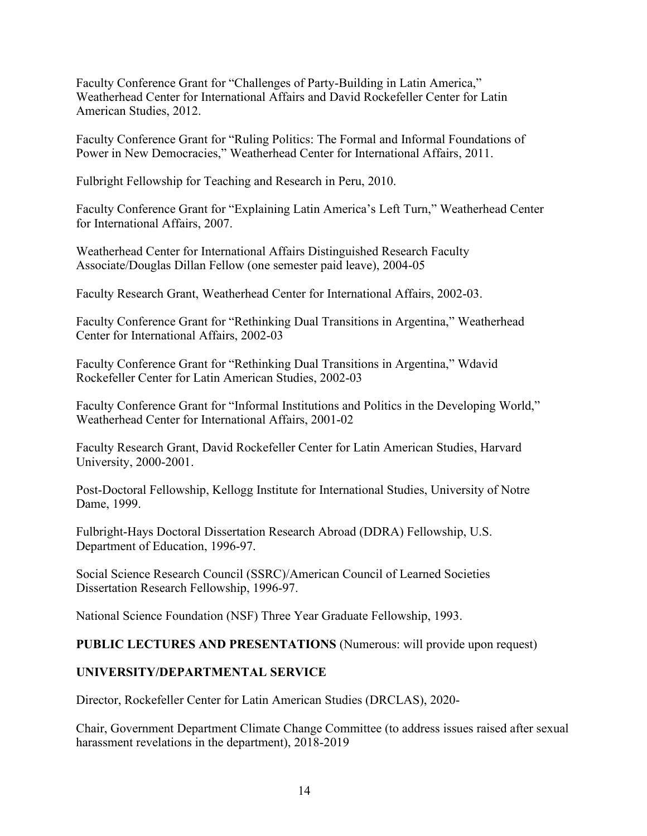Faculty Conference Grant for "Challenges of Party-Building in Latin America," Weatherhead Center for International Affairs and David Rockefeller Center for Latin American Studies, 2012.

Faculty Conference Grant for "Ruling Politics: The Formal and Informal Foundations of Power in New Democracies," Weatherhead Center for International Affairs, 2011.

Fulbright Fellowship for Teaching and Research in Peru, 2010.

Faculty Conference Grant for "Explaining Latin America's Left Turn," Weatherhead Center for International Affairs, 2007.

Weatherhead Center for International Affairs Distinguished Research Faculty Associate/Douglas Dillan Fellow (one semester paid leave), 2004-05

Faculty Research Grant, Weatherhead Center for International Affairs, 2002-03.

Faculty Conference Grant for "Rethinking Dual Transitions in Argentina," Weatherhead Center for International Affairs, 2002-03

Faculty Conference Grant for "Rethinking Dual Transitions in Argentina," Wdavid Rockefeller Center for Latin American Studies, 2002-03

Faculty Conference Grant for "Informal Institutions and Politics in the Developing World," Weatherhead Center for International Affairs, 2001-02

Faculty Research Grant, David Rockefeller Center for Latin American Studies, Harvard University, 2000-2001.

Post-Doctoral Fellowship, Kellogg Institute for International Studies, University of Notre Dame, 1999.

Fulbright-Hays Doctoral Dissertation Research Abroad (DDRA) Fellowship, U.S. Department of Education, 1996-97.

Social Science Research Council (SSRC)/American Council of Learned Societies Dissertation Research Fellowship, 1996-97.

National Science Foundation (NSF) Three Year Graduate Fellowship, 1993.

**PUBLIC LECTURES AND PRESENTATIONS** (Numerous: will provide upon request)

# **UNIVERSITY/DEPARTMENTAL SERVICE**

Director, Rockefeller Center for Latin American Studies (DRCLAS), 2020-

Chair, Government Department Climate Change Committee (to address issues raised after sexual harassment revelations in the department), 2018-2019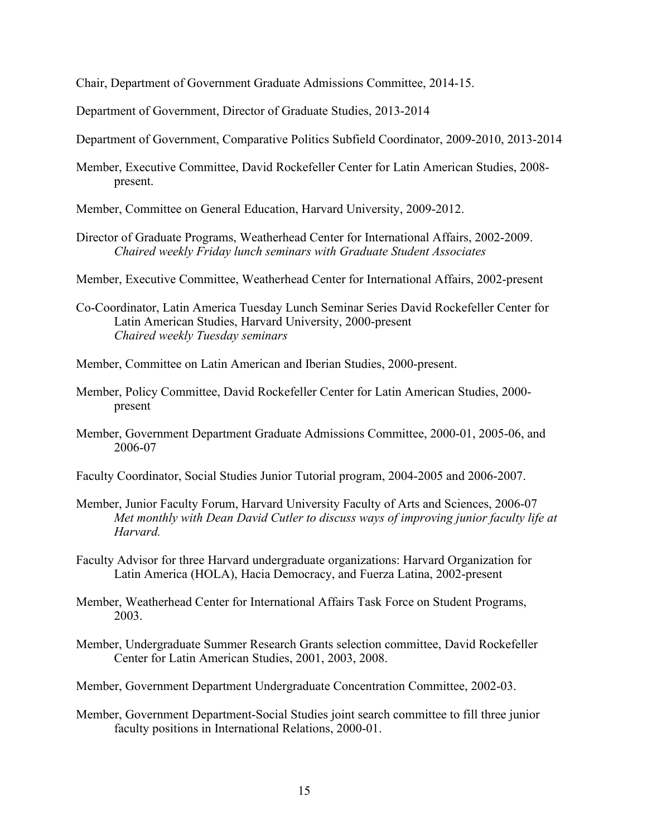Chair, Department of Government Graduate Admissions Committee, 2014-15.

Department of Government, Director of Graduate Studies, 2013-2014

Department of Government, Comparative Politics Subfield Coordinator, 2009-2010, 2013-2014

- Member, Executive Committee, David Rockefeller Center for Latin American Studies, 2008 present.
- Member, Committee on General Education, Harvard University, 2009-2012.
- Director of Graduate Programs, Weatherhead Center for International Affairs, 2002-2009. *Chaired weekly Friday lunch seminars with Graduate Student Associates*
- Member, Executive Committee, Weatherhead Center for International Affairs, 2002-present
- Co-Coordinator, Latin America Tuesday Lunch Seminar Series David Rockefeller Center for Latin American Studies, Harvard University, 2000-present *Chaired weekly Tuesday seminars*
- Member, Committee on Latin American and Iberian Studies, 2000-present.
- Member, Policy Committee, David Rockefeller Center for Latin American Studies, 2000 present
- Member, Government Department Graduate Admissions Committee, 2000-01, 2005-06, and 2006-07
- Faculty Coordinator, Social Studies Junior Tutorial program, 2004-2005 and 2006-2007.
- Member, Junior Faculty Forum, Harvard University Faculty of Arts and Sciences, 2006-07 *Met monthly with Dean David Cutler to discuss ways of improving junior faculty life at Harvard.*
- Faculty Advisor for three Harvard undergraduate organizations: Harvard Organization for Latin America (HOLA), Hacia Democracy, and Fuerza Latina, 2002-present
- Member, Weatherhead Center for International Affairs Task Force on Student Programs, 2003.
- Member, Undergraduate Summer Research Grants selection committee, David Rockefeller Center for Latin American Studies, 2001, 2003, 2008.
- Member, Government Department Undergraduate Concentration Committee, 2002-03.
- Member, Government Department-Social Studies joint search committee to fill three junior faculty positions in International Relations, 2000-01.